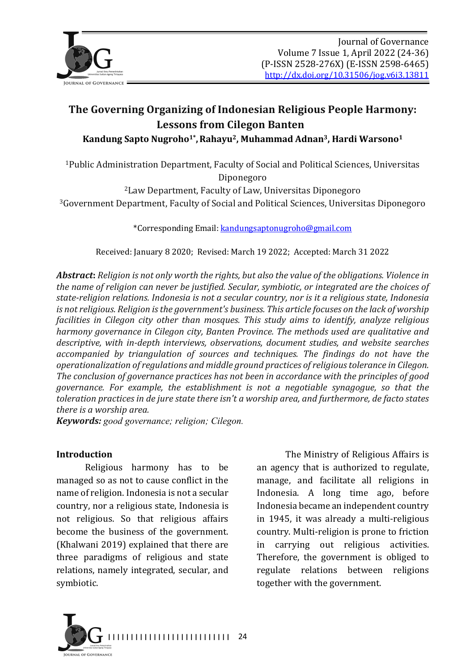

# The Governing Organizing of Indonesian Religious People Harmony: Lessons from Cilegon Banten Kandung Sapto Nugroho<sup>1\*</sup>, Rahayu<sup>2</sup>, Muhammad Adnan<sup>3</sup>, Hardi Warsono<sup>1</sup>

<sup>1</sup>Public Administration Department, Faculty of Social and Political Sciences, Universitas Diponegoro

<sup>2</sup> Law Department, Faculty of Law, Universitas Diponegoro <sup>3</sup>Government Department, Faculty of Social and Political Sciences, Universitas Diponegoro

\*Corresponding Email: kandungsaptonugroho@gmail.com

Received: January 8 2020; Revised: March 19 2022; Accepted: March 31 2022

*Abstract: Religion is not only worth the rights, but also the value of the obligations. Violence in* the name of religion can never be justified. Secular, symbiotic, or integrated are the choices of state-religion relations. Indonesia is not a secular country, nor is *it a religious state*, Indonesia *is* not religious. Religion is the government's business. This article focuses on the lack of worship *facilities* in *Cilegon city other than mosques. This study aims to identify, analyze religious harmony governance in Cilegon city, Banten Province. The methods used are qualitative and* descriptive, with in-depth interviews, observations, document studies, and website searches *accompanied by triangulation of sources and techniques. The findings do not have the* operationalization of regulations and middle ground practices of religious tolerance in Cilegon. The conclusion of governance practices has not been in accordance with the principles of good *governance.* For example, the establishment is not a negotiable synagogue, so that the *toleration practices in de jure state there isn't a worship area, and furthermore, de facto states there is a worship area.* 

*Keywords: good governance; religion; Cilegon.* 

#### **Introduction**

Religious harmony has to be managed so as not to cause conflict in the name of religion. Indonesia is not a secular country, nor a religious state, Indonesia is not religious. So that religious affairs become the business of the government. (Khalwani 2019) explained that there are three paradigms of religious and state relations, namely integrated, secular, and symbiotic.

The Ministry of Religious Affairs is an agency that is authorized to regulate, manage, and facilitate all religions in Indonesia. A long time ago, before Indonesia became an independent country in 1945, it was already a multi-religious country. Multi-religion is prone to friction in carrying out religious activities. Therefore, the government is obliged to regulate relations between religions together with the government.

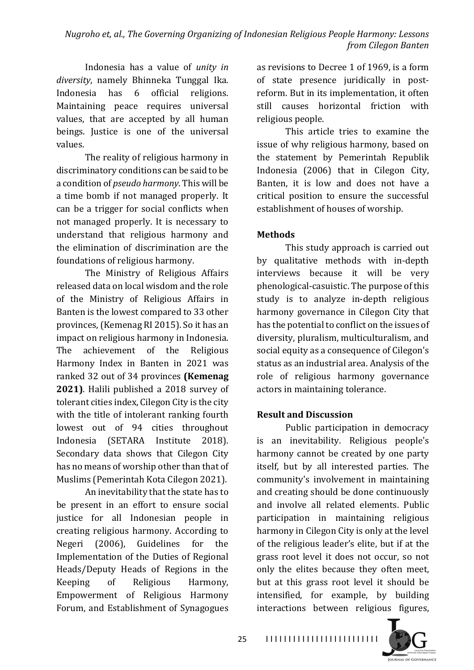Indonesia has a value of *unity* in *diversity*, namely Bhinneka Tunggal Ika. Indonesia has 6 official religions. Maintaining peace requires universal values, that are accepted by all human beings. Justice is one of the universal values.

The reality of religious harmony in discriminatory conditions can be said to be a condition of *pseudo harmony*. This will be a time bomb if not managed properly. It can be a trigger for social conflicts when not managed properly. It is necessary to understand that religious harmony and the elimination of discrimination are the foundations of religious harmony.

The Ministry of Religious Affairs released data on local wisdom and the role of the Ministry of Religious Affairs in Banten is the lowest compared to 33 other provinces, (Kemenag RI 2015). So it has an impact on religious harmony in Indonesia. The achievement of the Religious Harmony Index in Banten in 2021 was ranked 32 out of 34 provinces (Kemenag **2021)**. Halili published a 2018 survey of tolerant cities index, Cilegon City is the city with the title of intolerant ranking fourth lowest out of 94 cities throughout Indonesia (SETARA Institute 2018). Secondary data shows that Cilegon City has no means of worship other than that of Muslims (Pemerintah Kota Cilegon 2021).

An inevitability that the state has to be present in an effort to ensure social justice for all Indonesian people in creating religious harmony. According to Negeri (2006), Guidelines for the Implementation of the Duties of Regional Heads/Deputy Heads of Regions in the Keeping of Religious Harmony, Empowerment of Religious Harmony Forum, and Establishment of Synagogues

as revisions to Decree 1 of 1969, is a form of state presence juridically in postreform. But in its implementation, it often still causes horizontal friction with religious people.

This article tries to examine the issue of why religious harmony, based on the statement by Pemerintah Republik Indonesia (2006) that in Cilegon City, Banten, it is low and does not have a critical position to ensure the successful establishment of houses of worship.

## **Methods**

This study approach is carried out by qualitative methods with in-depth interviews because it will be very phenological-casuistic. The purpose of this study is to analyze in-depth religious harmony governance in Cilegon City that has the potential to conflict on the issues of diversity, pluralism, multiculturalism, and social equity as a consequence of Cilegon's status as an industrial area. Analysis of the role of religious harmony governance actors in maintaining tolerance.

### **Result and Discussion**

Public participation in democracy is an inevitability. Religious people's harmony cannot be created by one party itself, but by all interested parties. The community's involvement in maintaining and creating should be done continuously and involve all related elements. Public participation in maintaining religious harmony in Cilegon City is only at the level of the religious leader's elite, but if at the grass root level it does not occur, so not only the elites because they often meet, but at this grass root level it should be intensified, for example, by building interactions between religious figures,



25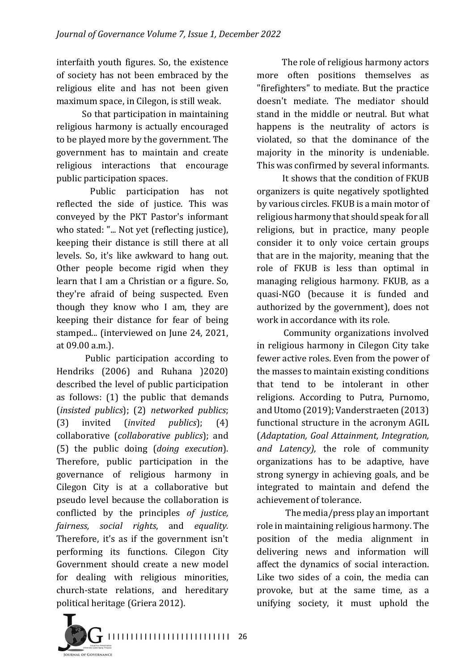interfaith youth figures. So, the existence of society has not been embraced by the religious elite and has not been given maximum space, in Cilegon, is still weak.

So that participation in maintaining religious harmony is actually encouraged to be played more by the government. The government has to maintain and create religious interactions that encourage public participation spaces.

Public participation has not reflected the side of justice. This was conveyed by the PKT Pastor's informant who stated: "... Not yet (reflecting justice), keeping their distance is still there at all levels. So, it's like awkward to hang out. Other people become rigid when they learn that I am a Christian or a figure. So, they're afraid of being suspected. Even though they know who I am, they are keeping their distance for fear of being stamped... (interviewed on June 24, 2021, at 09.00 a.m.).

Public participation according to Hendriks (2006) and Ruhana (2020) described the level of public participation as follows:  $(1)$  the public that demands (*insisted publics*); (2) *networked publics*; (3) invited (*invited publics*); (4) collaborative (*collaborative publics*); and (5) the public doing (*doing execution*). Therefore, public participation in the governance of religious harmony in Cilegon City is at a collaborative but pseudo level because the collaboration is conflicted by the principles of *justice*, *fairness, social rights*, and *equality.*  Therefore, it's as if the government  $isn't$ performing its functions. Cilegon City Government should create a new model for dealing with religious minorities, church-state relations, and hereditary political heritage (Griera 2012).

The role of religious harmony actors more often positions themselves as "firefighters" to mediate. But the practice doesn't mediate. The mediator should stand in the middle or neutral. But what happens is the neutrality of actors is violated, so that the dominance of the majority in the minority is undeniable. This was confirmed by several informants.

It shows that the condition of FKUB organizers is quite negatively spotlighted by various circles. FKUB is a main motor of religious harmony that should speak for all religions, but in practice, many people consider it to only voice certain groups that are in the majority, meaning that the role of FKUB is less than optimal in managing religious harmony. FKUB, as a quasi-NGO (because it is funded and authorized by the government), does not work in accordance with its role.

Community organizations involved in religious harmony in Cilegon City take fewer active roles. Even from the power of the masses to maintain existing conditions that tend to be intolerant in other religions. According to Putra, Purnomo, and Utomo (2019); Vanderstraeten (2013) functional structure in the acronym AGIL (*Adaptation, Goal Attainment, Integration,*  and *Latency*), the role of community organizations has to be adaptive, have strong synergy in achieving goals, and be integrated to maintain and defend the achievement of tolerance.

The media/press play an important role in maintaining religious harmony. The position of the media alignment in delivering news and information will affect the dynamics of social interaction. Like two sides of a coin, the media can provoke, but at the same time, as a unifying society, it must uphold the

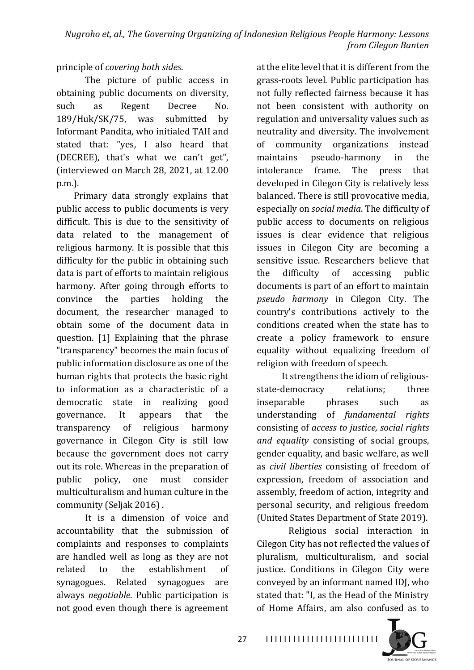principle of *covering both sides*.

The picture of public access in obtaining public documents on diversity. such as Regent Decree No. 189/Huk/SK/75, was submitted by Informant Pandita, who initialed TAH and stated that: "yes, I also heard that (DECREE), that's what we can't get", (interviewed on March 28, 2021, at 12.00) p.m.).

Primary data strongly explains that public access to public documents is very difficult. This is due to the sensitivity of data related to the management of religious harmony. It is possible that this difficulty for the public in obtaining such data is part of efforts to maintain religious harmony. After going through efforts to convince the parties holding the document, the researcher managed to obtain some of the document data in question. [1] Explaining that the phrase "transparency" becomes the main focus of public information disclosure as one of the human rights that protects the basic right to information as a characteristic of a democratic state in realizing good governance. It appears that the transparency of religious harmony governance in Cilegon City is still low because the government does not carry out its role. Whereas in the preparation of public policy, one must consider multiculturalism and human culture in the community (Seljak 2016).

It is a dimension of voice and accountability that the submission of complaints and responses to complaints are handled well as long as they are not related to the establishment of synagogues. Related synagogues are always *negotiable*. Public participation is not good even though there is agreement

at the elite level that it is different from the grass-roots level. Public participation has not fully reflected fairness because it has not been consistent with authority on regulation and universality values such as neutrality and diversity. The involvement of community organizations instead maintains pseudo-harmony in the intolerance frame. The press that developed in Cilegon City is relatively less balanced. There is still provocative media, especially on *social media*. The difficulty of public access to documents on religious issues is clear evidence that religious issues in Cilegon City are becoming a sensitive issue. Researchers believe that the difficulty of accessing public documents is part of an effort to maintain *pseudo harmony* in Cilegon City. The country's contributions actively to the conditions created when the state has to create a policy framework to ensure equality without equalizing freedom of religion with freedom of speech.

It strengthens the idiom of religiousstate-democracy relations: three inseparable phrases such as understanding of *fundamental rights* consisting of *access to justice*, *social rights and equality* consisting of social groups, gender equality, and basic welfare, as well as *civil liberties* consisting of freedom of expression, freedom of association and assembly, freedom of action, integrity and personal security, and religious freedom (United States Department of State 2019).

Religious social interaction in Cilegon City has not reflected the values of pluralism, multiculturalism, and social justice. Conditions in Cilegon City were conveyed by an informant named IDJ, who stated that: "I, as the Head of the Ministry of Home Affairs, am also confused as to

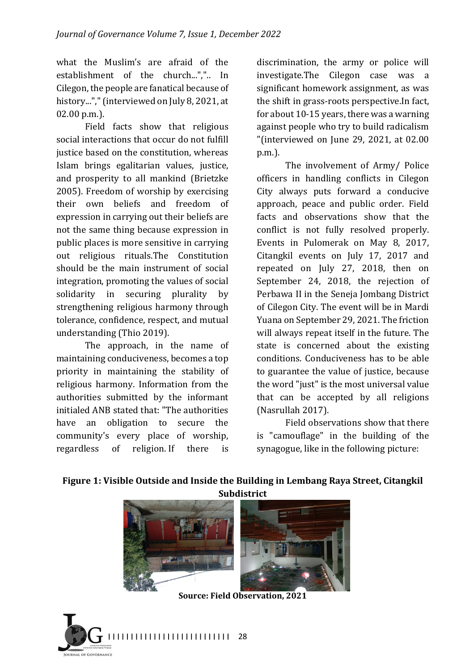what the Muslim's are afraid of the establishment of the church...",".. In Cilegon, the people are fanatical because of history..."," (interviewed on July 8, 2021, at 02.00 p.m.).

Field facts show that religious social interactions that occur do not fulfill justice based on the constitution, whereas Islam brings egalitarian values, justice, and prosperity to all mankind (Brietzke 2005). Freedom of worship by exercising their own beliefs and freedom of expression in carrying out their beliefs are not the same thing because expression in public places is more sensitive in carrying out religious rituals.The Constitution should be the main instrument of social integration, promoting the values of social solidarity in securing plurality by strengthening religious harmony through tolerance, confidence, respect, and mutual understanding (Thio 2019).

The approach, in the name of maintaining conduciveness, becomes a top priority in maintaining the stability of religious harmony. Information from the authorities submitted by the informant initialed ANB stated that: "The authorities have an obligation to secure the community's every place of worship, regardless of religion. If there is

discrimination, the army or police will investigate.The Cilegon case was a significant homework assignment, as was the shift in grass-roots perspective.In fact, for about  $10-15$  years, there was a warning against people who try to build radicalism "(interviewed on June 29, 2021, at  $02.00$ p.m.).

The involvement of Army/ Police officers in handling conflicts in Cilegon City always puts forward a conducive approach, peace and public order. Field facts and observations show that the conflict is not fully resolved properly. Events in Pulomerak on May 8, 2017, Citangkil events on July 17, 2017 and repeated on July 27, 2018, then on September 24, 2018, the rejection of Perbawa II in the Seneja Jombang District of Cilegon City. The event will be in Mardi Yuana on September 29, 2021. The friction will always repeat itself in the future. The state is concerned about the existing conditions. Conduciveness has to be able to guarantee the value of justice, because the word "just" is the most universal value that can be accepted by all religions (Nasrullah 2017).

Field observations show that there is "camouflage" in the building of the synagogue, like in the following picture:



## Figure 1: Visible Outside and Inside the Building in Lembang Raya Street, Citangkil **Subdistrict**

**Source: Field Observation, 2021** 

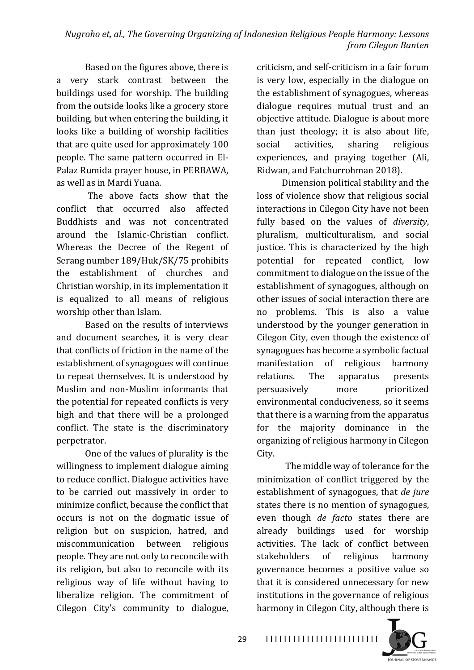Based on the figures above, there is a very stark contrast between the buildings used for worship. The building from the outside looks like a grocery store building, but when entering the building, it looks like a building of worship facilities that are quite used for approximately  $100$ people. The same pattern occurred in El-Palaz Rumida prayer house, in PERBAWA, as well as in Mardi Yuana.

The above facts show that the conflict that occurred also affected Buddhists and was not concentrated around the Islamic-Christian conflict. Whereas the Decree of the Regent of Serang number 189/Huk/SK/75 prohibits the establishment of churches and Christian worship, in its implementation it is equalized to all means of religious worship other than Islam.

Based on the results of interviews and document searches, it is very clear that conflicts of friction in the name of the establishment of synagogues will continue to repeat themselves. It is understood by Muslim and non-Muslim informants that the potential for repeated conflicts is very high and that there will be a prolonged conflict. The state is the discriminatory perpetrator.

One of the values of plurality is the willingness to implement dialogue aiming to reduce conflict. Dialogue activities have to be carried out massively in order to minimize conflict, because the conflict that occurs is not on the dogmatic issue of religion but on suspicion, hatred, and miscommunication between religious people. They are not only to reconcile with its religion, but also to reconcile with its religious way of life without having to liberalize religion. The commitment of Cilegon City's community to dialogue,

criticism, and self-criticism in a fair forum is very low, especially in the dialogue on the establishment of synagogues, whereas dialogue requires mutual trust and an objective attitude. Dialogue is about more than just theology; it is also about life, social activities, sharing religious experiences, and praying together (Ali, Ridwan, and Fatchurrohman 2018).

Dimension political stability and the loss of violence show that religious social interactions in Cilegon City have not been fully based on the values of *diversity*, pluralism, multiculturalism, and social justice. This is characterized by the high potential for repeated conflict, low commitment to dialogue on the issue of the establishment of synagogues, although on other issues of social interaction there are no problems. This is also a value understood by the younger generation in Cilegon City, even though the existence of synagogues has become a symbolic factual manifestation of religious harmony relations. The apparatus presents persuasively more prioritized environmental conduciveness, so it seems that there is a warning from the apparatus for the majority dominance in the organizing of religious harmony in Cilegon City.

The middle way of tolerance for the minimization of conflict triggered by the establishment of synagogues, that *de jure* states there is no mention of synagogues, even though *de facto* states there are already buildings used for worship activities. The lack of conflict between stakeholders of religious harmony governance becomes a positive value so that it is considered unnecessary for new institutions in the governance of religious harmony in Cilegon City, although there is



29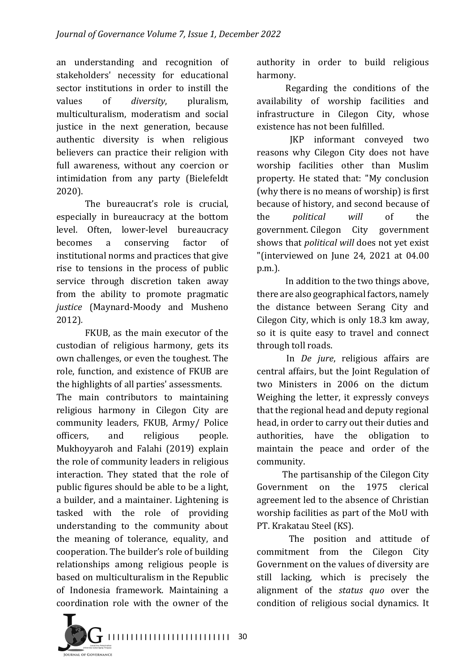an understanding and recognition of stakeholders' necessity for educational sector institutions in order to instill the values of *diversity*, pluralism, multiculturalism, moderatism and social justice in the next generation, because authentic diversity is when religious believers can practice their religion with full awareness, without any coercion or intimidation from any party (Bielefeldt 2020).

The bureaucrat's role is crucial. especially in bureaucracy at the bottom level. Often, lower-level bureaucracy becomes a conserving factor of institutional norms and practices that give rise to tensions in the process of public service through discretion taken away from the ability to promote pragmatic *justice*  (Maynard-Moody and Musheno 2012)*.* 

FKUB, as the main executor of the custodian of religious harmony, gets its own challenges, or even the toughest. The role, function, and existence of FKUB are the highlights of all parties' assessments.

The main contributors to maintaining religious harmony in Cilegon City are community leaders, FKUB, Army/ Police officers, and religious people. Mukhoyyaroh and Falahi (2019) explain the role of community leaders in religious interaction. They stated that the role of public figures should be able to be a light, a builder, and a maintainer. Lightening is tasked with the role of providing understanding to the community about the meaning of tolerance, equality, and cooperation. The builder's role of building relationships among religious people is based on multiculturalism in the Republic of Indonesia framework. Maintaining a coordination role with the owner of the

authority in order to build religious harmony.

Regarding the conditions of the availability of worship facilities and infrastructure in Cilegon City, whose existence has not been fulfilled.

**IKP** informant conveyed two reasons why Cilegon City does not have worship facilities other than Muslim property. He stated that: "My conclusion (why there is no means of worship) is first because of history, and second because of the *political* will of the government. Cilegon City government shows that *political will* does not yet exist "(interviewed on June 24, 2021 at 04.00 p.m.).

In addition to the two things above, there are also geographical factors, namely the distance between Serang City and Cilegon City, which is only 18.3 km away, so it is quite easy to travel and connect through toll roads.

In *De jure*, religious affairs are central affairs, but the Joint Regulation of two Ministers in 2006 on the dictum Weighing the letter, it expressly conveys that the regional head and deputy regional head, in order to carry out their duties and authorities, have the obligation to maintain the peace and order of the community.

The partisanship of the Cilegon City Government on the 1975 clerical agreement led to the absence of Christian worship facilities as part of the MoU with PT. Krakatau Steel (KS).

The position and attitude of commitment from the Cilegon City Government on the values of diversity are still lacking, which is precisely the alignment of the *status quo* over the condition of religious social dynamics. It

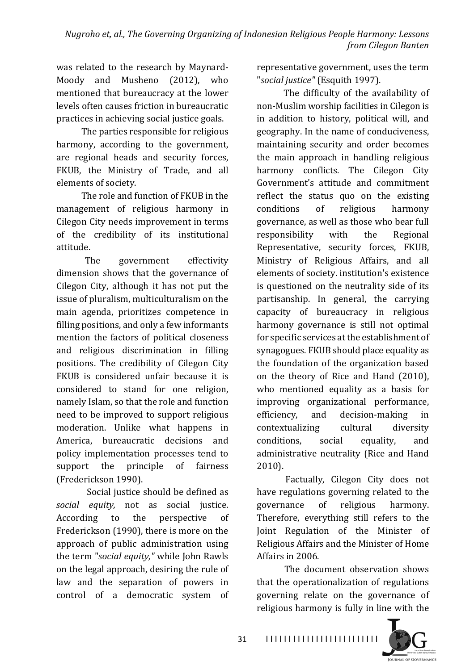was related to the research by Maynard-Moody and Musheno (2012), who mentioned that bureaucracy at the lower levels often causes friction in bureaucratic practices in achieving social justice goals.

The parties responsible for religious harmony, according to the government. are regional heads and security forces, FKUB, the Ministry of Trade, and all elements of society.

The role and function of FKUB in the management of religious harmony in Cilegon City needs improvement in terms of the credibility of its institutional attitude.

The government effectivity dimension shows that the governance of Cilegon City, although it has not put the issue of pluralism, multiculturalism on the main agenda, prioritizes competence in filling positions, and only a few informants mention the factors of political closeness and religious discrimination in filling positions. The credibility of Cilegon City FKUB is considered unfair because it is considered to stand for one religion, namely Islam, so that the role and function need to be improved to support religious moderation. Unlike what happens in America, bureaucratic decisions and policy implementation processes tend to support the principle of fairness (Frederickson 1990).

Social justice should be defined as social equity, not as social justice. According to the perspective of Frederickson (1990), there is more on the approach of public administration using the term "*social equity*," while John Rawls on the legal approach, desiring the rule of law and the separation of powers in control of a democratic system of representative government, uses the term "social justice" (Esquith 1997).

The difficulty of the availability of non-Muslim worship facilities in Cilegon is in addition to history, political will, and geography. In the name of conduciveness, maintaining security and order becomes the main approach in handling religious harmony conflicts. The Cilegon City Government's attitude and commitment reflect the status quo on the existing conditions of religious harmony governance, as well as those who bear full responsibility with the Regional Representative, security forces, FKUB, Ministry of Religious Affairs, and all elements of society. institution's existence is questioned on the neutrality side of its partisanship. In general, the carrying capacity of bureaucracy in religious harmony governance is still not optimal for specific services at the establishment of synagogues. FKUB should place equality as the foundation of the organization based on the theory of Rice and Hand (2010), who mentioned equality as a basis for improving organizational performance, efficiency, and decision-making in contextualizing cultural diversity conditions, social equality, and administrative neutrality (Rice and Hand 2010).

Factually, Cilegon City does not have regulations governing related to the governance of religious harmony. Therefore, everything still refers to the Joint Regulation of the Minister of Religious Affairs and the Minister of Home Affairs in 2006.

The document observation shows that the operationalization of regulations governing relate on the governance of religious harmony is fully in line with the

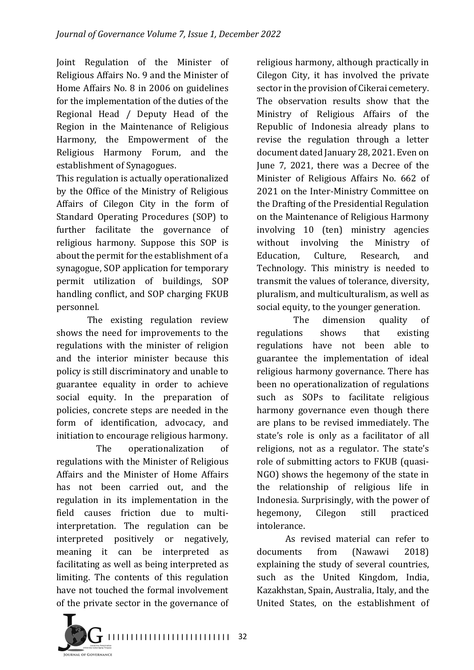Joint Regulation of the Minister of Religious Affairs No. 9 and the Minister of Home Affairs No. 8 in 2006 on guidelines for the implementation of the duties of the Regional Head / Deputy Head of the Region in the Maintenance of Religious Harmony, the Empowerment of the Religious Harmony Forum, and the establishment of Synagogues.

This regulation is actually operationalized by the Office of the Ministry of Religious Affairs of Cilegon City in the form of Standard Operating Procedures (SOP) to further facilitate the governance of religious harmony. Suppose this SOP is about the permit for the establishment of a synagogue, SOP application for temporary permit utilization of buildings, SOP handling conflict, and SOP charging FKUB personnel.

The existing regulation review shows the need for improvements to the regulations with the minister of religion and the interior minister because this policy is still discriminatory and unable to guarantee equality in order to achieve social equity. In the preparation of policies, concrete steps are needed in the form of identification, advocacy, and initiation to encourage religious harmony.

The operationalization of regulations with the Minister of Religious Affairs and the Minister of Home Affairs has not been carried out, and the regulation in its implementation in the field causes friction due to multiinterpretation. The regulation can be interpreted positively or negatively, meaning it can be interpreted as facilitating as well as being interpreted as limiting. The contents of this regulation have not touched the formal involvement of the private sector in the governance of



The dimension quality of regulations shows that existing regulations have not been able to guarantee the implementation of ideal religious harmony governance. There has been no operationalization of regulations such as SOPs to facilitate religious harmony governance even though there are plans to be revised immediately. The state's role is only as a facilitator of all religions, not as a regulator. The state's role of submitting actors to FKUB (quasi-NGO) shows the hegemony of the state in the relationship of religious life in Indonesia. Surprisingly, with the power of hegemony, Cilegon still practiced intolerance.

As revised material can refer to documents from (Nawawi 2018) explaining the study of several countries, such as the United Kingdom, India, Kazakhstan, Spain, Australia, Italy, and the United States, on the establishment of

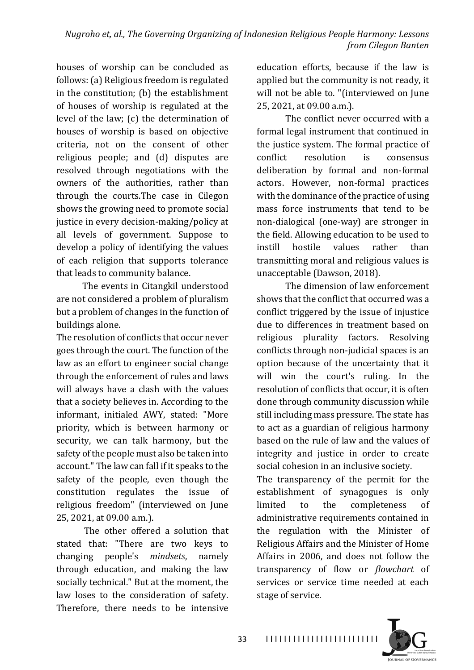houses of worship can be concluded as follows: (a) Religious freedom is regulated in the constitution; (b) the establishment of houses of worship is regulated at the level of the law;  $(c)$  the determination of houses of worship is based on objective criteria, not on the consent of other religious people; and (d) disputes are resolved through negotiations with the owners of the authorities, rather than through the courts.The case in Cilegon shows the growing need to promote social justice in every decision-making/policy at all levels of government. Suppose to develop a policy of identifying the values of each religion that supports tolerance that leads to community balance.

The events in Citangkil understood are not considered a problem of pluralism but a problem of changes in the function of buildings alone.

The resolution of conflicts that occur never goes through the court. The function of the law as an effort to engineer social change through the enforcement of rules and laws will always have a clash with the values that a society believes in. According to the informant, initialed AWY, stated: "More priority, which is between harmony or security, we can talk harmony, but the safety of the people must also be taken into account." The law can fall if it speaks to the safety of the people, even though the constitution regulates the issue of religious freedom" (interviewed on June 25, 2021, at 09.00 a.m.).

The other offered a solution that stated that: "There are two keys to changing people's *mindsets*, namely through education, and making the law socially technical." But at the moment, the law loses to the consideration of safety. Therefore, there needs to be intensive

education efforts, because if the law is applied but the community is not ready, it will not be able to. "(interviewed on June 25, 2021, at 09.00 a.m.).

The conflict never occurred with a formal legal instrument that continued in the justice system. The formal practice of conflict resolution is consensus deliberation by formal and non-formal actors. However, non-formal practices with the dominance of the practice of using mass force instruments that tend to be non-dialogical (one-way) are stronger in the field. Allowing education to be used to instill hostile values rather than transmitting moral and religious values is unacceptable (Dawson, 2018).

The dimension of law enforcement shows that the conflict that occurred was a conflict triggered by the issue of injustice due to differences in treatment based on religious plurality factors. Resolving conflicts through non-judicial spaces is an option because of the uncertainty that it will win the court's ruling. In the resolution of conflicts that occur, it is often done through community discussion while still including mass pressure. The state has to act as a guardian of religious harmony based on the rule of law and the values of integrity and justice in order to create social cohesion in an inclusive society.

The transparency of the permit for the establishment of synagogues is only limited to the completeness of administrative requirements contained in the regulation with the Minister of Religious Affairs and the Minister of Home Affairs in 2006, and does not follow the transparency of flow or *flowchart* of services or service time needed at each stage of service.

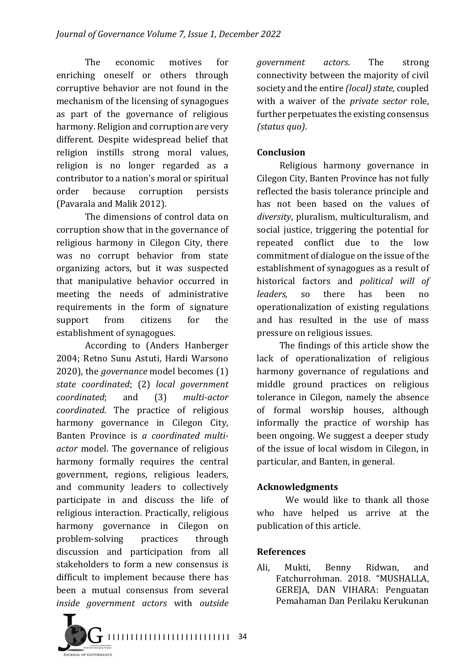The economic motives for enriching oneself or others through corruptive behavior are not found in the mechanism of the licensing of synagogues as part of the governance of religious harmony. Religion and corruption are very different. Despite widespread belief that religion instills strong moral values, religion is no longer regarded as a contributor to a nation's moral or spiritual order because corruption persists (Pavarala and Malik 2012).

The dimensions of control data on corruption show that in the governance of religious harmony in Cilegon City, there was no corrupt behavior from state organizing actors, but it was suspected that manipulative behavior occurred in meeting the needs of administrative requirements in the form of signature support from citizens for the establishment of synagogues.

According to (Anders Hanberger) 2004: Retno Sunu Astuti, Hardi Warsono 2020), the *governance* model becomes (1) *state coordinated*; (2) *local government coordinated*; and (3) *multi-actor coordinated*. The practice of religious harmony governance in Cilegon City, Banten Province is a coordinated multi*actor* model. The governance of religious harmony formally requires the central government, regions, religious leaders, and community leaders to collectively participate in and discuss the life of religious interaction. Practically, religious harmony governance in Cilegon on problem-solving practices through discussion and participation from all stakeholders to form a new consensus is difficult to implement because there has been a mutual consensus from several *inside government actors* with *outside* 

*government actors*. The strong connectivity between the majority of civil society and the entire *(local)* state, coupled with a waiver of the *private sector* role, further perpetuates the existing consensus *(status quo)*.

#### **Conclusion**

Religious harmony governance in Cilegon City, Banten Province has not fully reflected the basis tolerance principle and has not been based on the values of diversity, pluralism, multiculturalism, and social justice, triggering the potential for repeated conflict due to the low commitment of dialogue on the issue of the establishment of synagogues as a result of historical factors and *political* will of *leaders*, so there has been no operationalization of existing regulations and has resulted in the use of mass pressure on religious issues.

The findings of this article show the lack of operationalization of religious harmony governance of regulations and middle ground practices on religious tolerance in Cilegon, namely the absence of formal worship houses, although informally the practice of worship has been ongoing. We suggest a deeper study of the issue of local wisdom in Cilegon, in particular, and Banten, in general.

#### **Acknowledgments**

We would like to thank all those who have helped us arrive at the publication of this article.

#### **References**

Ali, Mukti, Benny Ridwan, and Fatchurrohman. 2018. "MUSHALLA, GEREJA, DAN VIHARA: Penguatan Pemahaman Dan Perilaku Kerukunan 

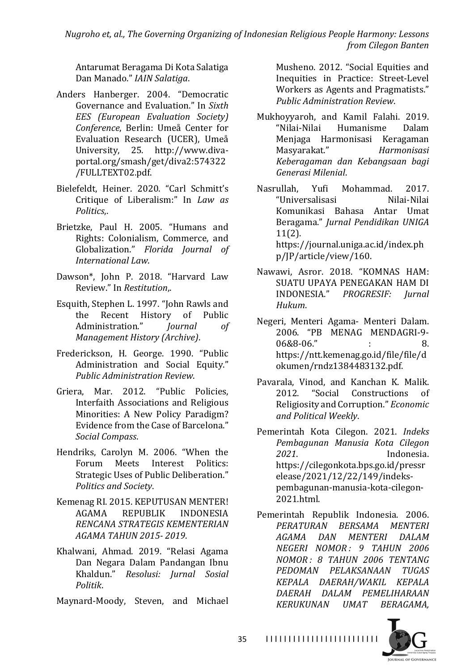*Nugroho et, al., The Governing Organizing of Indonesian Religious People Harmony: Lessons from Cilegon Banten*

Antarumat Beragama Di Kota Salatiga Dan Manado." *IAIN Salatiga*.

- Anders Hanberger. 2004. "Democratic Governance and Evaluation." In *Sixth EES (European Evaluation Society) Conference*, Berlin: Umeå Center for Evaluation Research (UCER), Umeå University, 25. http://www.divaportal.org/smash/get/diva2:574322 /FULLTEXT02.pdf.
- Bielefeldt, Heiner. 2020. "Carl Schmitt's Critique of Liberalism:" In *Law as Politics*,.
- Brietzke, Paul H. 2005. "Humans and Rights: Colonialism, Commerce, and Globalization." Florida Journal of *International Law*.
- Dawson\*, John P. 2018. "Harvard Law Review." In *Restitution*,.
- Esquith, Stephen L. 1997. "John Rawls and the Recent History of Public Administration." *Journal* of *Management History (Archive)*.
- Frederickson, H. George. 1990. "Public Administration and Social Equity." *Public Administration Review*.
- Griera, Mar. 2012. "Public Policies, Interfaith Associations and Religious Minorities: A New Policy Paradigm? Evidence from the Case of Barcelona." *Social Compass*.
- Hendriks, Carolyn M. 2006. "When the Forum Meets Interest Politics: Strategic Uses of Public Deliberation." *Politics and Society*.
- Kemenag RI. 2015. KEPUTUSAN MENTER! AGAMA REPUBLIK INDONESIA *RENCANA STRATEGIS KEMENTERIAN AGAMA TAHUN 2015- 2019*.
- Khalwani, Ahmad. 2019. "Relasi Agama Dan Negara Dalam Pandangan Ibnu Khaldun." *Resolusi: Jurnal Sosial Politik*.

Maynard-Moody, Steven, and Michael

Musheno. 2012. "Social Equities and Inequities in Practice: Street-Level Workers as Agents and Pragmatists." *Public Administration Review*.

Mukhoyyaroh, and Kamil Falahi. 2019. "Nilai-Nilai Humanisme Dalam Menjaga Harmonisasi Keragaman Masyarakat." *Harmonisasi Keberagaman dan Kebangsaan bagi Generasi Milenial*.

Nasrullah, Yufi Mohammad. 2017. "Universalisasi Nilai-Nilai Komunikasi Bahasa Antar Umat Beragama." *Jurnal Pendidikan UNIGA* 11(2). https://journal.uniga.ac.id/index.ph p/JP/article/view/160.

- Nawawi, Asror. 2018. "KOMNAS HAM: SUATU UPAYA PENEGAKAN HAM DI INDONESIA." *PROGRESIF: Jurnal Hukum*.
- Negeri, Menteri Agama- Menteri Dalam. 2006. "PB MENAG MENDAGRI-9- $06&8.8\cdot 06$ ." : 8. https://ntt.kemenag.go.id/file/file/d okumen/rndz1384483132.pdf.
- Pavarala, Vinod, and Kanchan K. Malik. 2012. "Social Constructions of Religiosity and Corruption." *Economic and Political Weekly*.
- Pemerintah Kota Cilegon. 2021. *Indeks Pembagunan Manusia Kota Cilegon 2021*. Indonesia. https://cilegonkota.bps.go.id/pressr elease/2021/12/22/149/indekspembagunan-manusia-kota-cilegon-2021.html.
- Pemerintah Republik Indonesia. 2006. *PERATURAN BERSAMA MENTERI AGAMA DAN MENTERI DALAM NEGERI NOMOR : 9 TAHUN 2006 NOMOR : 8 TAHUN 2006 TENTANG PEDOMAN PELAKSANAAN TUGAS KEPALA DAERAH/WAKIL KEPALA DAERAH DALAM PEMELIHARAAN KERUKUNAN UMAT BERAGAMA,*